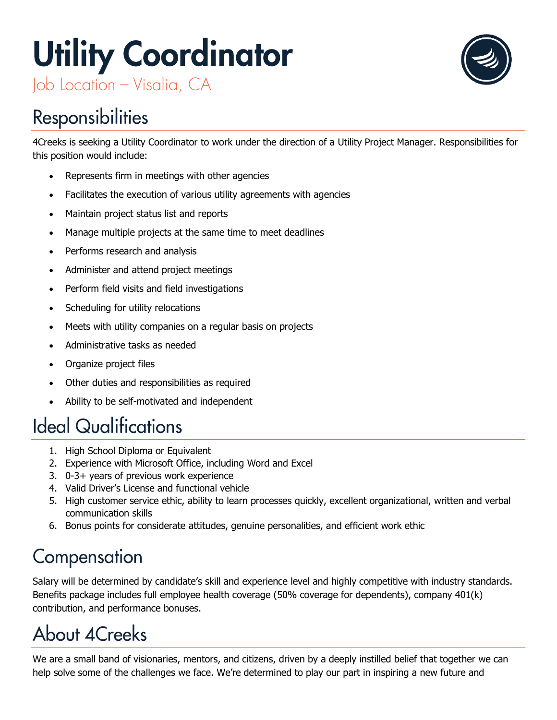# **Utility Coordinator** Job Location - Visalia, CA



## **Responsibilities**

4Creeks is seeking a Utility Coordinator to work under the direction of a Utility Project Manager. Responsibilities for this position would include:

- Represents firm in meetings with other agencies
- Facilitates the execution of various utility agreements with agencies
- Maintain project status list and reports
- Manage multiple projects at the same time to meet deadlines
- Performs research and analysis
- Administer and attend project meetings
- Perform field visits and field investigations
- Scheduling for utility relocations
- Meets with utility companies on a regular basis on projects
- Administrative tasks as needed
- Organize project files
- Other duties and responsibilities as required
- Ability to be self-motivated and independent

### **Ideal Qualifications**

- 1. High School Diploma or Equivalent
- 2. Experience with Microsoft Office, including Word and Excel
- 3. 0-3+ years of previous work experience
- 4. Valid Driver's License and functional vehicle
- 5. High customer service ethic, ability to learn processes quickly, excellent organizational, written and verbal communication skills
- 6. Bonus points for considerate attitudes, genuine personalities, and efficient work ethic

#### Compensation

Salary will be determined by candidate's skill and experience level and highly competitive with industry standards. Benefits package includes full employee health coverage (50% coverage for dependents), company 401(k) contribution, and performance bonuses.

## **About 4Creeks**

We are a small band of visionaries, mentors, and citizens, driven by a deeply instilled belief that together we can help solve some of the challenges we face. We're determined to play our part in inspiring a new future and